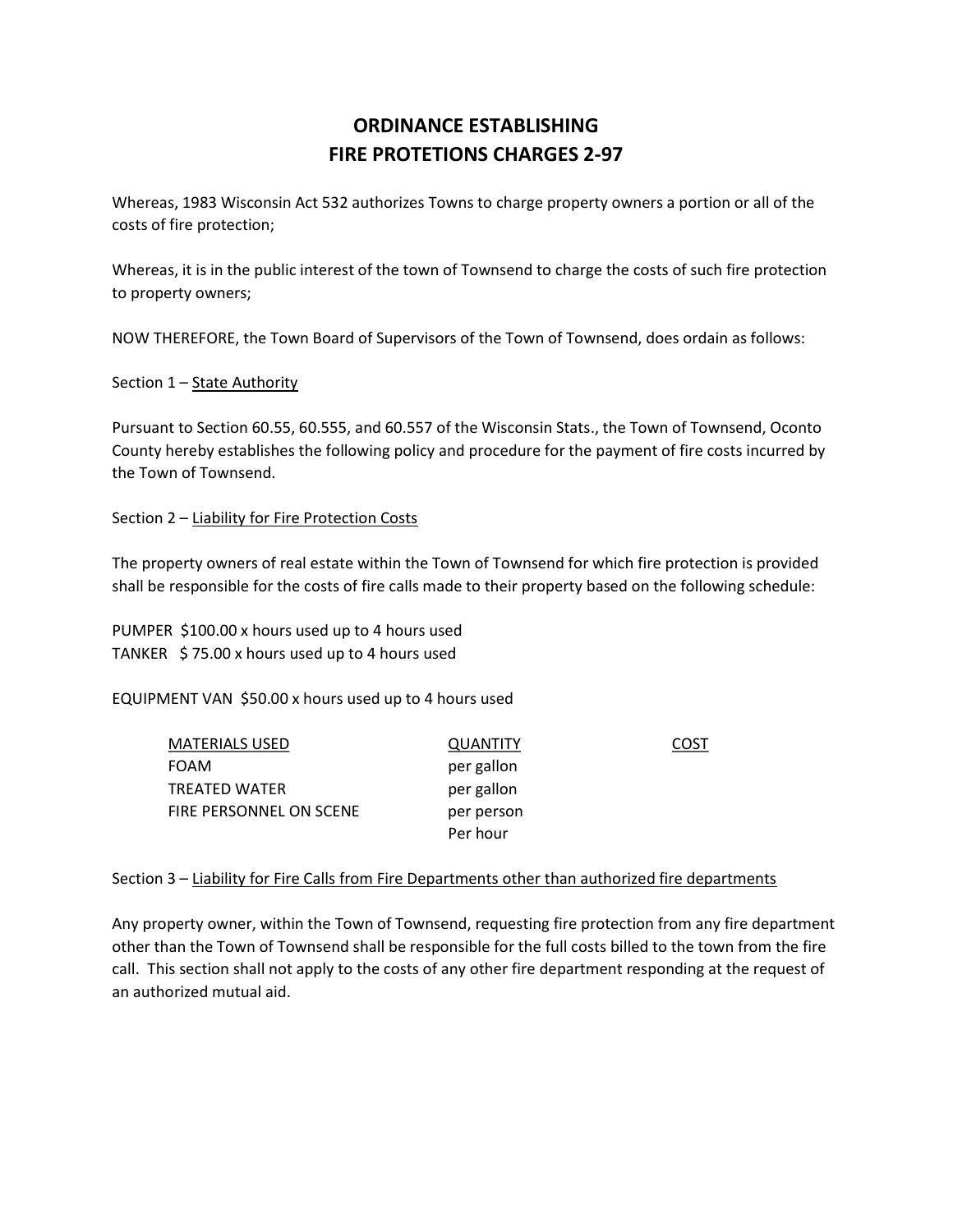## ORDINANCE ESTABLISHING FIRE PROTETIONS CHARGES 2-97

Whereas, 1983 Wisconsin Act 532 authorizes Towns to charge property owners a portion or all of the costs of fire protection;

Whereas, it is in the public interest of the town of Townsend to charge the costs of such fire protection to property owners;

NOW THEREFORE, the Town Board of Supervisors of the Town of Townsend, does ordain as follows:

Section 1 - State Authority

Pursuant to Section 60.55, 60.555, and 60.557 of the Wisconsin Stats., the Town of Townsend, Oconto County hereby establishes the following policy and procedure for the payment of fire costs incurred by the Town of Townsend.

Section 2 – Liability for Fire Protection Costs

The property owners of real estate within the Town of Townsend for which fire protection is provided shall be responsible for the costs of fire calls made to their property based on the following schedule:

PUMPER \$100.00 x hours used up to 4 hours used TANKER \$ 75.00 x hours used up to 4 hours used

EQUIPMENT VAN \$50.00 x hours used up to 4 hours used

| <b>MATERIALS USED</b>   | QUANTITY   | COST |
|-------------------------|------------|------|
| <b>FOAM</b>             | per gallon |      |
| TREATED WATER           | per gallon |      |
| FIRE PERSONNEL ON SCENE | per person |      |
|                         | Per hour   |      |

## Section 3 – Liability for Fire Calls from Fire Departments other than authorized fire departments

Any property owner, within the Town of Townsend, requesting fire protection from any fire department other than the Town of Townsend shall be responsible for the full costs billed to the town from the fire call. This section shall not apply to the costs of any other fire department responding at the request of an authorized mutual aid.